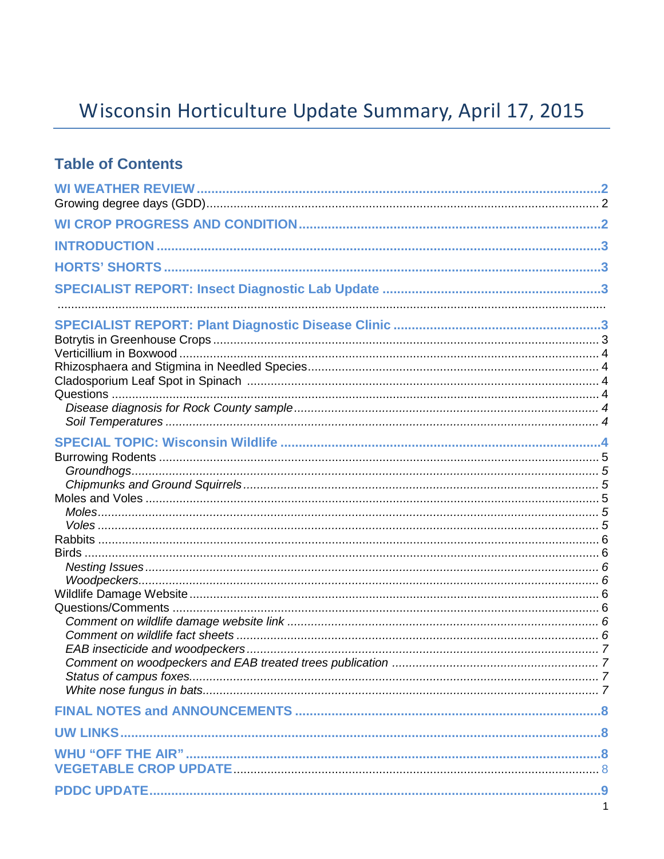# Wisconsin Horticulture Update Summary, April 17, 2015

### **Table of Contents**

| $\mathbf{1}$ |
|--------------|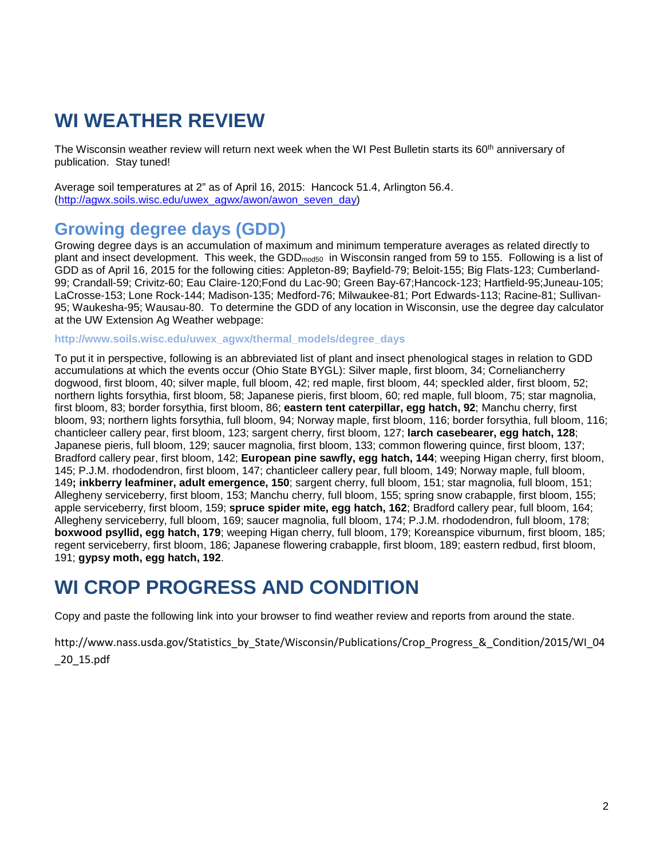## **WI WEATHER REVIEW**

The Wisconsin weather review will return next week when the WI Pest Bulletin starts its 60<sup>th</sup> anniversary of publication. Stay tuned!

Average soil temperatures at 2" as of April 16, 2015: Hancock 51.4, Arlington 56.4. [\(http://agwx.soils.wisc.edu/uwex\\_agwx/awon/awon\\_seven\\_day\)](http://agwx.soils.wisc.edu/uwex_agwx/awon/awon_seven_day)

### **Growing degree days (GDD)**

Growing degree days is an accumulation of maximum and minimum temperature averages as related directly to plant and insect development. This week, the GDD<sub>mod50</sub> in Wisconsin ranged from 59 to 155. Following is a list of GDD as of April 16, 2015 for the following cities: Appleton-89; Bayfield-79; Beloit-155; Big Flats-123; Cumberland-99; Crandall-59; Crivitz-60; Eau Claire-120;Fond du Lac-90; Green Bay-67;Hancock-123; Hartfield-95;Juneau-105; LaCrosse-153; Lone Rock-144; Madison-135; Medford-76; Milwaukee-81; Port Edwards-113; Racine-81; Sullivan-95; Waukesha-95; Wausau-80. To determine the GDD of any location in Wisconsin, use the degree day calculator at the UW Extension Ag Weather webpage:

**[http://www.soils.wisc.edu/uwex\\_agwx/thermal\\_models/degree\\_days](http://www.soils.wisc.edu/uwex_agwx/thermal_models/degree_days)**

To put it in perspective, following is an abbreviated list of plant and insect phenological stages in relation to GDD accumulations at which the events occur (Ohio State BYGL): Silver maple, first bloom, 34; Corneliancherry dogwood, first bloom, 40; silver maple, full bloom, 42; red maple, first bloom, 44; speckled alder, first bloom, 52; northern lights forsythia, first bloom, 58; Japanese pieris, first bloom, 60; red maple, full bloom, 75; star magnolia, first bloom, 83; border forsythia, first bloom, 86; **eastern tent caterpillar, egg hatch, 92**; Manchu cherry, first bloom, 93; northern lights forsythia, full bloom, 94; Norway maple, first bloom, 116; border forsythia, full bloom, 116; chanticleer callery pear, first bloom, 123; sargent cherry, first bloom, 127; **larch casebearer, egg hatch, 128**; Japanese pieris, full bloom, 129; saucer magnolia, first bloom, 133; common flowering quince, first bloom, 137; Bradford callery pear, first bloom, 142; **European pine sawfly, egg hatch, 144**; weeping Higan cherry, first bloom, 145; P.J.M. rhododendron, first bloom, 147; chanticleer callery pear, full bloom, 149; Norway maple, full bloom, 149**; inkberry leafminer, adult emergence, 150**; sargent cherry, full bloom, 151; star magnolia, full bloom, 151; Allegheny serviceberry, first bloom, 153; Manchu cherry, full bloom, 155; spring snow crabapple, first bloom, 155; apple serviceberry, first bloom, 159; **spruce spider mite, egg hatch, 162**; Bradford callery pear, full bloom, 164; Allegheny serviceberry, full bloom, 169; saucer magnolia, full bloom, 174; P.J.M. rhododendron, full bloom, 178; **boxwood psyllid, egg hatch, 179**; weeping Higan cherry, full bloom, 179; Koreanspice viburnum, first bloom, 185; regent serviceberry, first bloom, 186; Japanese flowering crabapple, first bloom, 189; eastern redbud, first bloom, 191; **gypsy moth, egg hatch, 192**.

## **WI CROP PROGRESS AND CONDITION**

Copy and paste the following link into your browser to find weather review and reports from around the state.

http://www.nass.usda.gov/Statistics\_by\_State/Wisconsin/Publications/Crop\_Progress\_&\_Condition/2015/WI\_04 \_20\_15.pdf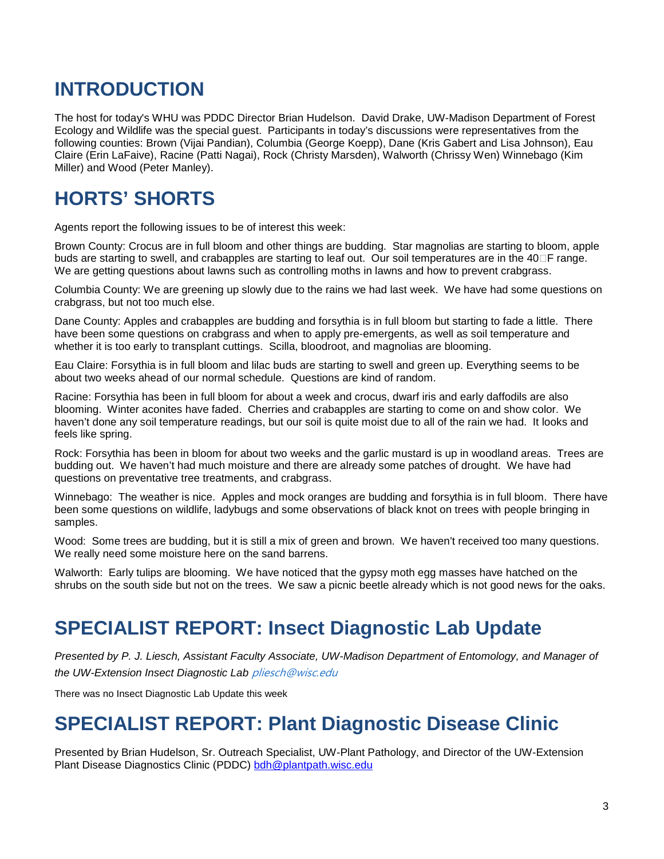## **INTRODUCTION**

The host for today's WHU was PDDC Director Brian Hudelson. David Drake, UW-Madison Department of Forest Ecology and Wildlife was the special guest. Participants in today's discussions were representatives from the following counties: Brown (Vijai Pandian), Columbia (George Koepp), Dane (Kris Gabert and Lisa Johnson), Eau Claire (Erin LaFaive), Racine (Patti Nagai), Rock (Christy Marsden), Walworth (Chrissy Wen) Winnebago (Kim Miller) and Wood (Peter Manley).

## **HORTS' SHORTS**

Agents report the following issues to be of interest this week:

Brown County: Crocus are in full bloom and other things are budding. Star magnolias are starting to bloom, apple buds are starting to swell, and crabapples are starting to leaf out. Our soil temperatures are in the 40□F range. We are getting questions about lawns such as controlling moths in lawns and how to prevent crabgrass.

Columbia County: We are greening up slowly due to the rains we had last week. We have had some questions on crabgrass, but not too much else.

Dane County: Apples and crabapples are budding and forsythia is in full bloom but starting to fade a little. There have been some questions on crabgrass and when to apply pre-emergents, as well as soil temperature and whether it is too early to transplant cuttings. Scilla, bloodroot, and magnolias are blooming.

Eau Claire: Forsythia is in full bloom and lilac buds are starting to swell and green up. Everything seems to be about two weeks ahead of our normal schedule. Questions are kind of random.

Racine: Forsythia has been in full bloom for about a week and crocus, dwarf iris and early daffodils are also blooming. Winter aconites have faded. Cherries and crabapples are starting to come on and show color. We haven't done any soil temperature readings, but our soil is quite moist due to all of the rain we had. It looks and feels like spring.

Rock: Forsythia has been in bloom for about two weeks and the garlic mustard is up in woodland areas. Trees are budding out. We haven't had much moisture and there are already some patches of drought. We have had questions on preventative tree treatments, and crabgrass.

Winnebago: The weather is nice. Apples and mock oranges are budding and forsythia is in full bloom. There have been some questions on wildlife, ladybugs and some observations of black knot on trees with people bringing in samples.

Wood: Some trees are budding, but it is still a mix of green and brown. We haven't received too many questions. We really need some moisture here on the sand barrens.

Walworth: Early tulips are blooming. We have noticed that the gypsy moth egg masses have hatched on the shrubs on the south side but not on the trees. We saw a picnic beetle already which is not good news for the oaks.

## **SPECIALIST REPORT: Insect Diagnostic Lab Update**

*Presented by P. J. Liesch, Assistant Faculty Associate, UW-Madison Department of Entomology, and Manager of the UW-Extension Insect Diagnostic Lab* [pliesch@wisc.edu](mailto:pliesch@wisc.edu)

There was no Insect Diagnostic Lab Update this week

## **SPECIALIST REPORT: Plant Diagnostic Disease Clinic**

Presented by Brian Hudelson, Sr. Outreach Specialist, UW-Plant Pathology, and Director of the UW-Extension Plant Disease Diagnostics Clinic (PDDC) [bdh@plantpath.wisc.edu](mailto:bdh@plantpath.wisc.edu)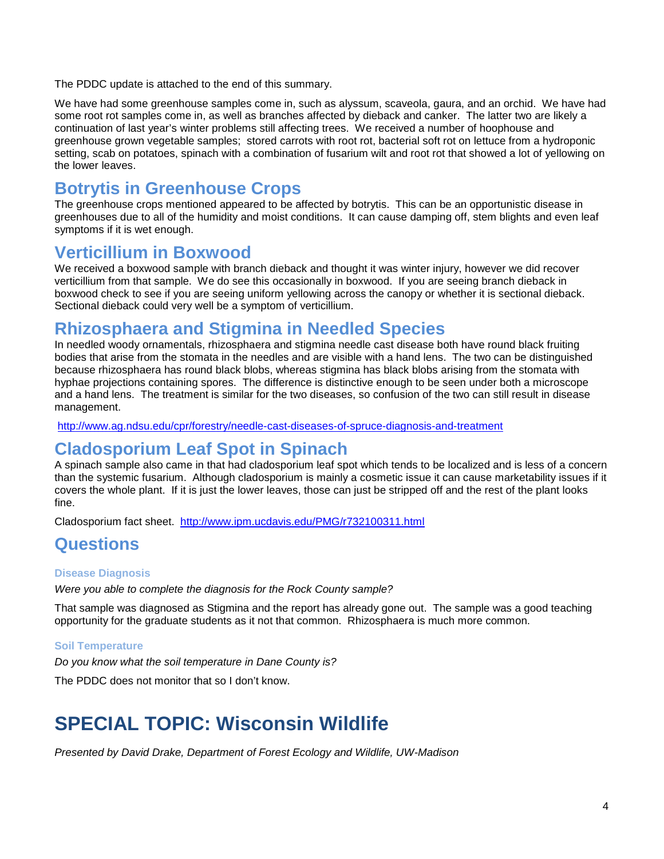The PDDC update is attached to the end of this summary.

We have had some greenhouse samples come in, such as alyssum, scaveola, gaura, and an orchid. We have had some root rot samples come in, as well as branches affected by dieback and canker. The latter two are likely a continuation of last year's winter problems still affecting trees. We received a number of hoophouse and greenhouse grown vegetable samples; stored carrots with root rot, bacterial soft rot on lettuce from a hydroponic setting, scab on potatoes, spinach with a combination of fusarium wilt and root rot that showed a lot of yellowing on the lower leaves.

### **Botrytis in Greenhouse Crops**

The greenhouse crops mentioned appeared to be affected by botrytis. This can be an opportunistic disease in greenhouses due to all of the humidity and moist conditions. It can cause damping off, stem blights and even leaf symptoms if it is wet enough.

### **Verticillium in Boxwood**

We received a boxwood sample with branch dieback and thought it was winter injury, however we did recover verticillium from that sample. We do see this occasionally in boxwood. If you are seeing branch dieback in boxwood check to see if you are seeing uniform yellowing across the canopy or whether it is sectional dieback. Sectional dieback could very well be a symptom of verticillium.

### **Rhizosphaera and Stigmina in Needled Species**

In needled woody ornamentals, rhizosphaera and stigmina needle cast disease both have round black fruiting bodies that arise from the stomata in the needles and are visible with a hand lens. The two can be distinguished because rhizosphaera has round black blobs, whereas stigmina has black blobs arising from the stomata with hyphae projections containing spores. The difference is distinctive enough to be seen under both a microscope and a hand lens. The treatment is similar for the two diseases, so confusion of the two can still result in disease management.

<http://www.ag.ndsu.edu/cpr/forestry/needle-cast-diseases-of-spruce-diagnosis-and-treatment>

### **Cladosporium Leaf Spot in Spinach**

A spinach sample also came in that had cladosporium leaf spot which tends to be localized and is less of a concern than the systemic fusarium. Although cladosporium is mainly a cosmetic issue it can cause marketability issues if it covers the whole plant. If it is just the lower leaves, those can just be stripped off and the rest of the plant looks fine.

Cladosporium fact sheet. <http://www.ipm.ucdavis.edu/PMG/r732100311.html>

### **Questions**

### **Disease Diagnosis**

*Were you able to complete the diagnosis for the Rock County sample?*

That sample was diagnosed as Stigmina and the report has already gone out. The sample was a good teaching opportunity for the graduate students as it not that common. Rhizosphaera is much more common.

### **Soil Temperature**

*Do you know what the soil temperature in Dane County is?*

The PDDC does not monitor that so I don't know.

## **SPECIAL TOPIC: Wisconsin Wildlife**

*Presented by David Drake, Department of Forest Ecology and Wildlife, UW-Madison*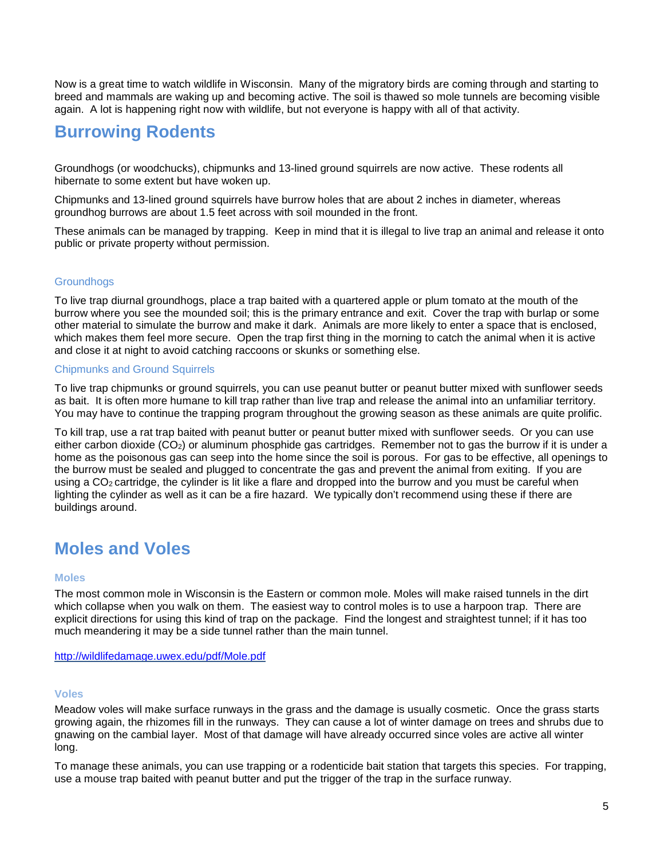Now is a great time to watch wildlife in Wisconsin. Many of the migratory birds are coming through and starting to breed and mammals are waking up and becoming active. The soil is thawed so mole tunnels are becoming visible again. A lot is happening right now with wildlife, but not everyone is happy with all of that activity.

### **Burrowing Rodents**

Groundhogs (or woodchucks), chipmunks and 13-lined ground squirrels are now active. These rodents all hibernate to some extent but have woken up.

Chipmunks and 13-lined ground squirrels have burrow holes that are about 2 inches in diameter, whereas groundhog burrows are about 1.5 feet across with soil mounded in the front.

These animals can be managed by trapping. Keep in mind that it is illegal to live trap an animal and release it onto public or private property without permission.

### **Groundhogs**

To live trap diurnal groundhogs, place a trap baited with a quartered apple or plum tomato at the mouth of the burrow where you see the mounded soil; this is the primary entrance and exit. Cover the trap with burlap or some other material to simulate the burrow and make it dark. Animals are more likely to enter a space that is enclosed, which makes them feel more secure. Open the trap first thing in the morning to catch the animal when it is active and close it at night to avoid catching raccoons or skunks or something else.

### Chipmunks and Ground Squirrels

To live trap chipmunks or ground squirrels, you can use peanut butter or peanut butter mixed with sunflower seeds as bait. It is often more humane to kill trap rather than live trap and release the animal into an unfamiliar territory. You may have to continue the trapping program throughout the growing season as these animals are quite prolific.

To kill trap, use a rat trap baited with peanut butter or peanut butter mixed with sunflower seeds. Or you can use either carbon dioxide (CO2) or aluminum phosphide gas cartridges. Remember not to gas the burrow if it is under a home as the poisonous gas can seep into the home since the soil is porous. For gas to be effective, all openings to the burrow must be sealed and plugged to concentrate the gas and prevent the animal from exiting. If you are using a CO<sub>2</sub> cartridge, the cylinder is lit like a flare and dropped into the burrow and you must be careful when lighting the cylinder as well as it can be a fire hazard. We typically don't recommend using these if there are buildings around.

### **Moles and Voles**

#### **Moles**

The most common mole in Wisconsin is the Eastern or common mole. Moles will make raised tunnels in the dirt which collapse when you walk on them. The easiest way to control moles is to use a harpoon trap. There are explicit directions for using this kind of trap on the package. Find the longest and straightest tunnel; if it has too much meandering it may be a side tunnel rather than the main tunnel.

<http://wildlifedamage.uwex.edu/pdf/Mole.pdf>

#### **Voles**

Meadow voles will make surface runways in the grass and the damage is usually cosmetic. Once the grass starts growing again, the rhizomes fill in the runways. They can cause a lot of winter damage on trees and shrubs due to gnawing on the cambial layer. Most of that damage will have already occurred since voles are active all winter long.

To manage these animals, you can use trapping or a rodenticide bait station that targets this species. For trapping, use a mouse trap baited with peanut butter and put the trigger of the trap in the surface runway.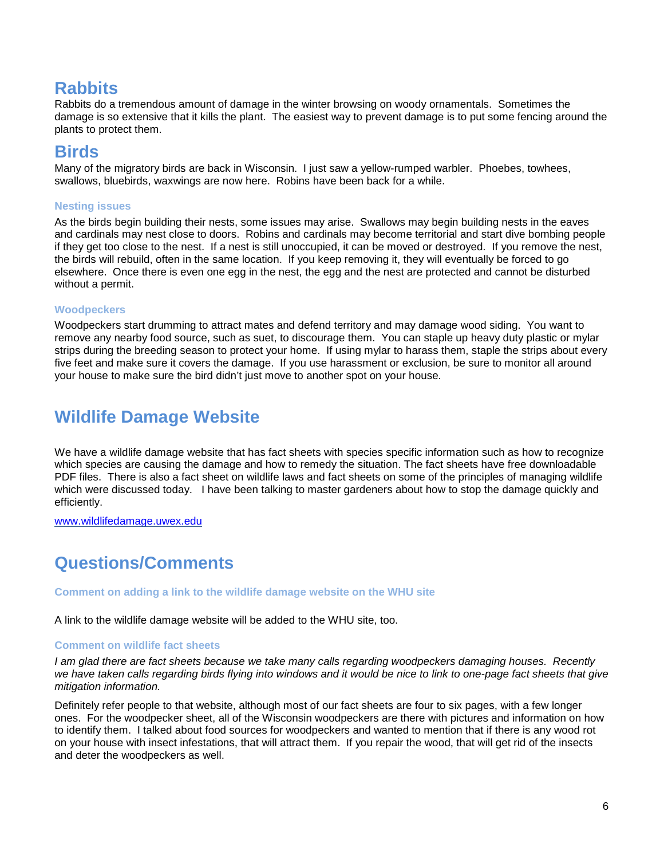### **Rabbits**

Rabbits do a tremendous amount of damage in the winter browsing on woody ornamentals. Sometimes the damage is so extensive that it kills the plant. The easiest way to prevent damage is to put some fencing around the plants to protect them.

### **Birds**

Many of the migratory birds are back in Wisconsin. I just saw a yellow-rumped warbler. Phoebes, towhees, swallows, bluebirds, waxwings are now here. Robins have been back for a while.

### **Nesting issues**

As the birds begin building their nests, some issues may arise. Swallows may begin building nests in the eaves and cardinals may nest close to doors. Robins and cardinals may become territorial and start dive bombing people if they get too close to the nest. If a nest is still unoccupied, it can be moved or destroyed. If you remove the nest, the birds will rebuild, often in the same location. If you keep removing it, they will eventually be forced to go elsewhere. Once there is even one egg in the nest, the egg and the nest are protected and cannot be disturbed without a permit.

### **Woodpeckers**

Woodpeckers start drumming to attract mates and defend territory and may damage wood siding. You want to remove any nearby food source, such as suet, to discourage them. You can staple up heavy duty plastic or mylar strips during the breeding season to protect your home. If using mylar to harass them, staple the strips about every five feet and make sure it covers the damage. If you use harassment or exclusion, be sure to monitor all around your house to make sure the bird didn't just move to another spot on your house.

### **Wildlife Damage Website**

We have a wildlife damage website that has fact sheets with species specific information such as how to recognize which species are causing the damage and how to remedy the situation. The fact sheets have free downloadable PDF files. There is also a fact sheet on wildlife laws and fact sheets on some of the principles of managing wildlife which were discussed today. I have been talking to master gardeners about how to stop the damage quickly and efficiently.

[www.wildlifedamage.uwex.edu](http://www.wildlifedamage.uwex.edu/)

### **Questions/Comments**

**Comment on adding a link to the wildlife damage website on the WHU site**

A link to the wildlife damage website will be added to the WHU site, too.

#### **Comment on wildlife fact sheets**

*I am glad there are fact sheets because we take many calls regarding woodpeckers damaging houses. Recently we have taken calls regarding birds flying into windows and it would be nice to link to one-page fact sheets that give mitigation information.*

Definitely refer people to that website, although most of our fact sheets are four to six pages, with a few longer ones. For the woodpecker sheet, all of the Wisconsin woodpeckers are there with pictures and information on how to identify them. I talked about food sources for woodpeckers and wanted to mention that if there is any wood rot on your house with insect infestations, that will attract them. If you repair the wood, that will get rid of the insects and deter the woodpeckers as well.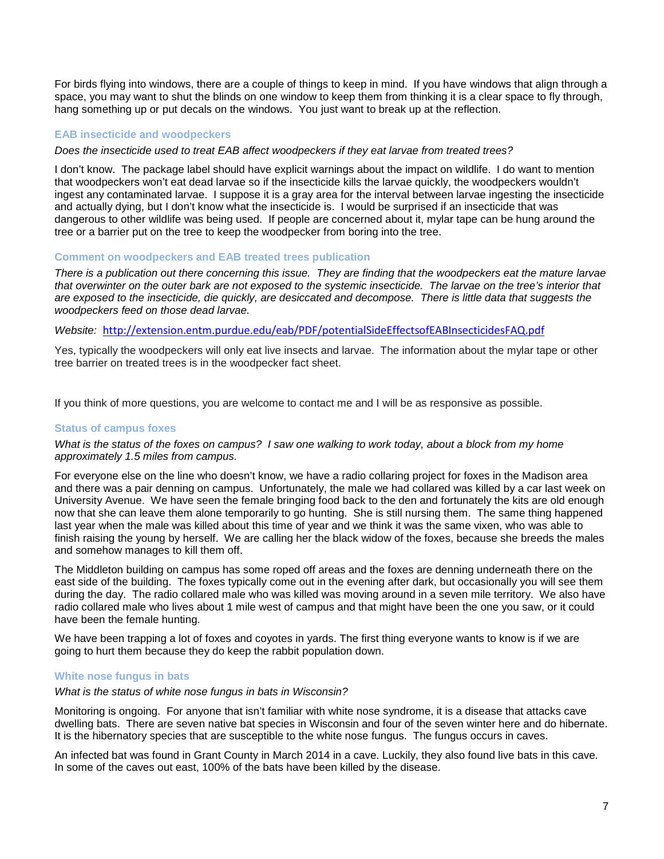For birds flying into windows, there are a couple of things to keep in mind. If you have windows that align through a space, you may want to shut the blinds on one window to keep them from thinking it is a clear space to fly through, hang something up or put decals on the windows. You just want to break up at the reflection.

#### **EAB insecticide and woodpeckers**

#### *Does the insecticide used to treat EAB affect woodpeckers if they eat larvae from treated trees?*

I don't know. The package label should have explicit warnings about the impact on wildlife. I do want to mention that woodpeckers won't eat dead larvae so if the insecticide kills the larvae quickly, the woodpeckers wouldn't ingest any contaminated larvae. I suppose it is a gray area for the interval between larvae ingesting the insecticide and actually dying, but I don't know what the insecticide is. I would be surprised if an insecticide that was dangerous to other wildlife was being used. If people are concerned about it, mylar tape can be hung around the tree or a barrier put on the tree to keep the woodpecker from boring into the tree.

#### **Comment on woodpeckers and EAB treated trees publication**

*There is a publication out there concerning this issue. They are finding that the woodpeckers eat the mature larvae that overwinter on the outer bark are not exposed to the systemic insecticide. The larvae on the tree's interior that are exposed to the insecticide, die quickly, are desiccated and decompose. There is little data that suggests the woodpeckers feed on those dead larvae.*

#### *Website:* <http://extension.entm.purdue.edu/eab/PDF/potentialSideEffectsofEABInsecticidesFAQ.pdf>

Yes, typically the woodpeckers will only eat live insects and larvae. The information about the mylar tape or other tree barrier on treated trees is in the woodpecker fact sheet.

If you think of more questions, you are welcome to contact me and I will be as responsive as possible.

#### **Status of campus foxes**

#### *What is the status of the foxes on campus? I saw one walking to work today, about a block from my home approximately 1.5 miles from campus.*

For everyone else on the line who doesn't know, we have a radio collaring project for foxes in the Madison area and there was a pair denning on campus. Unfortunately, the male we had collared was killed by a car last week on University Avenue. We have seen the female bringing food back to the den and fortunately the kits are old enough now that she can leave them alone temporarily to go hunting. She is still nursing them. The same thing happened last year when the male was killed about this time of year and we think it was the same vixen, who was able to finish raising the young by herself. We are calling her the black widow of the foxes, because she breeds the males and somehow manages to kill them off.

The Middleton building on campus has some roped off areas and the foxes are denning underneath there on the east side of the building. The foxes typically come out in the evening after dark, but occasionally you will see them during the day. The radio collared male who was killed was moving around in a seven mile territory. We also have radio collared male who lives about 1 mile west of campus and that might have been the one you saw, or it could have been the female hunting.

We have been trapping a lot of foxes and coyotes in yards. The first thing everyone wants to know is if we are going to hurt them because they do keep the rabbit population down.

#### **White nose fungus in bats**

#### *What is the status of white nose fungus in bats in Wisconsin?*

Monitoring is ongoing. For anyone that isn't familiar with white nose syndrome, it is a disease that attacks cave dwelling bats. There are seven native bat species in Wisconsin and four of the seven winter here and do hibernate. It is the hibernatory species that are susceptible to the white nose fungus. The fungus occurs in caves.

An infected bat was found in Grant County in March 2014 in a cave. Luckily, they also found live bats in this cave. In some of the caves out east, 100% of the bats have been killed by the disease.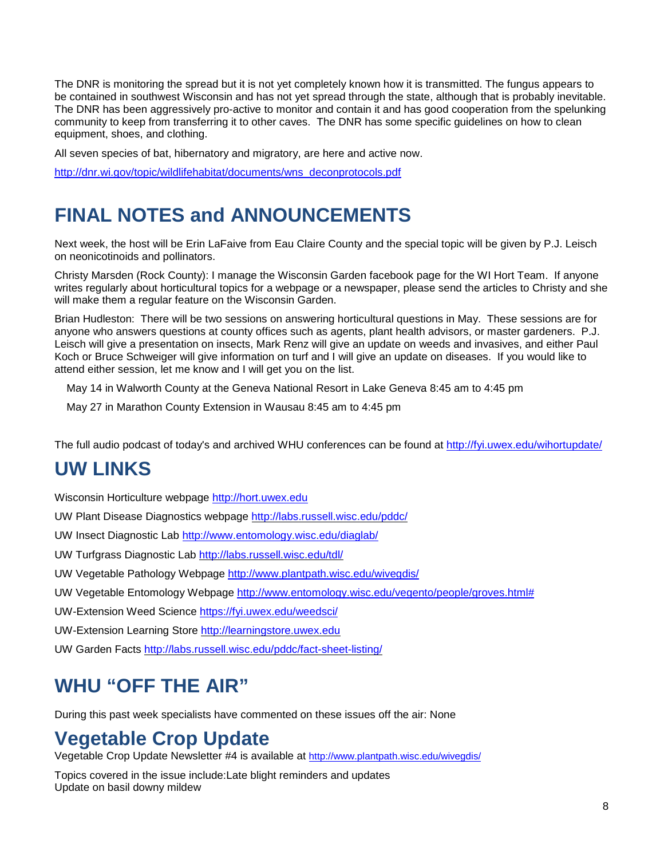The DNR is monitoring the spread but it is not yet completely known how it is transmitted. The fungus appears to be contained in southwest Wisconsin and has not yet spread through the state, although that is probably inevitable. The DNR has been aggressively pro-active to monitor and contain it and has good cooperation from the spelunking community to keep from transferring it to other caves. The DNR has some specific guidelines on how to clean equipment, shoes, and clothing.

All seven species of bat, hibernatory and migratory, are here and active now.

[http://dnr.wi.gov/topic/wildlifehabitat/documents/wns\\_deconprotocols.pdf](http://dnr.wi.gov/topic/wildlifehabitat/documents/wns_deconprotocols.pdf)

## **FINAL NOTES and ANNOUNCEMENTS**

Next week, the host will be Erin LaFaive from Eau Claire County and the special topic will be given by P.J. Leisch on neonicotinoids and pollinators.

Christy Marsden (Rock County): I manage the Wisconsin Garden facebook page for the WI Hort Team. If anyone writes regularly about horticultural topics for a webpage or a newspaper, please send the articles to Christy and she will make them a regular feature on the Wisconsin Garden.

Brian Hudleston: There will be two sessions on answering horticultural questions in May. These sessions are for anyone who answers questions at county offices such as agents, plant health advisors, or master gardeners. P.J. Leisch will give a presentation on insects, Mark Renz will give an update on weeds and invasives, and either Paul Koch or Bruce Schweiger will give information on turf and I will give an update on diseases. If you would like to attend either session, let me know and I will get you on the list.

May 14 in Walworth County at the Geneva National Resort in Lake Geneva 8:45 am to 4:45 pm

May 27 in Marathon County Extension in Wausau 8:45 am to 4:45 pm

The full audio podcast of today's and archived WHU conferences can be found at<http://fyi.uwex.edu/wihortupdate/>

## **UW LINKS**

Wisconsin Horticulture webpage [http://hort.uwex.edu](http://hort.uwex.edu/)

UW Plant Disease Diagnostics webpage<http://labs.russell.wisc.edu/pddc/>

UW Insect Diagnostic Lab<http://www.entomology.wisc.edu/diaglab/>

UW Turfgrass Diagnostic Lab<http://labs.russell.wisc.edu/tdl/>

UW Vegetable Pathology Webpage<http://www.plantpath.wisc.edu/wivegdis/>

UW Vegetable Entomology Webpage [http://www.entomology.wisc.edu/vegento/people/groves.html#](http://www.entomology.wisc.edu/vegento/people/groves.html%23)

UW-Extension Weed Science https://fyi.uwex.edu/weedsci/

UW-Extension Learning Store [http://learningstore.uwex.edu](http://learningstore.uwex.edu/)

UW Garden Facts<http://labs.russell.wisc.edu/pddc/fact-sheet-listing/>

## **WHU "OFF THE AIR"**

During this past week specialists have commented on these issues off the air: None

## **Vegetable Crop Update**

Vegetable Crop Update Newsletter #4 is available at http://www.plantpath.wisc.edu/wivegdis/

Topics covered in the issue include:Late blight reminders and updates Update on basil downy mildew